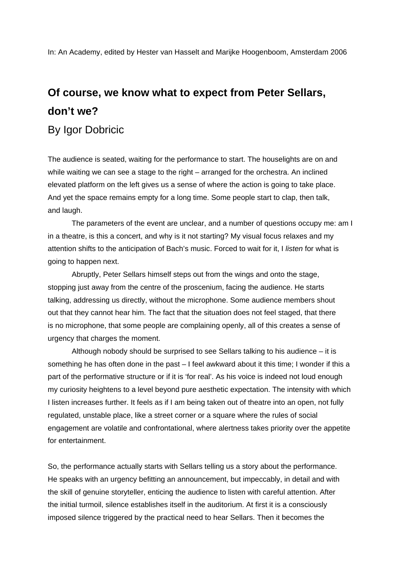In: An Academy, edited by Hester van Hasselt and Marijke Hoogenboom, Amsterdam 2006

## **Of course, we know what to expect from Peter Sellars, don't we?**

By Igor Dobricic

The audience is seated, waiting for the performance to start. The houselights are on and while waiting we can see a stage to the right – arranged for the orchestra. An inclined elevated platform on the left gives us a sense of where the action is going to take place. And yet the space remains empty for a long time. Some people start to clap, then talk, and laugh.

The parameters of the event are unclear, and a number of questions occupy me: am I in a theatre, is this a concert, and why is it not starting? My visual focus relaxes and my attention shifts to the anticipation of Bach's music. Forced to wait for it, I *listen* for what is going to happen next.

Abruptly, Peter Sellars himself steps out from the wings and onto the stage, stopping just away from the centre of the proscenium, facing the audience. He starts talking, addressing us directly, without the microphone. Some audience members shout out that they cannot hear him. The fact that the situation does not feel staged, that there is no microphone, that some people are complaining openly, all of this creates a sense of urgency that charges the moment.

Although nobody should be surprised to see Sellars talking to his audience – it is something he has often done in the past – I feel awkward about it this time; I wonder if this a part of the performative structure or if it is 'for real'. As his voice is indeed not loud enough my curiosity heightens to a level beyond pure aesthetic expectation. The intensity with which I listen increases further. It feels as if I am being taken out of theatre into an open, not fully regulated, unstable place, like a street corner or a square where the rules of social engagement are volatile and confrontational, where alertness takes priority over the appetite for entertainment.

So, the performance actually starts with Sellars telling us a story about the performance. He speaks with an urgency befitting an announcement, but impeccably, in detail and with the skill of genuine storyteller, enticing the audience to listen with careful attention. After the initial turmoil, silence establishes itself in the auditorium. At first it is a consciously imposed silence triggered by the practical need to hear Sellars. Then it becomes the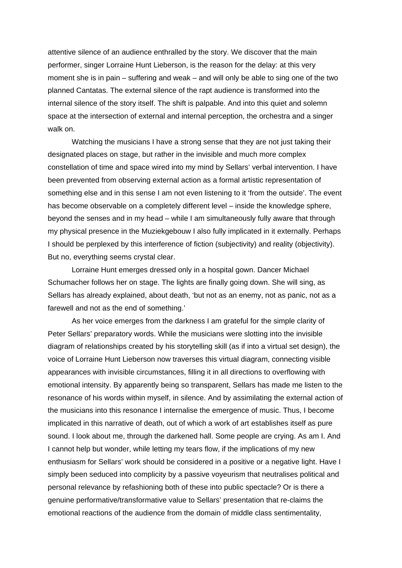attentive silence of an audience enthralled by the story. We discover that the main performer, singer Lorraine Hunt Lieberson, is the reason for the delay: at this very moment she is in pain – suffering and weak – and will only be able to sing one of the two planned Cantatas. The external silence of the rapt audience is transformed into the internal silence of the story itself. The shift is palpable. And into this quiet and solemn space at the intersection of external and internal perception, the orchestra and a singer walk on.

Watching the musicians I have a strong sense that they are not just taking their designated places on stage, but rather in the invisible and much more complex constellation of time and space wired into my mind by Sellars' verbal intervention. I have been prevented from observing external action as a formal artistic representation of something else and in this sense I am not even listening to it 'from the outside'. The event has become observable on a completely different level – inside the knowledge sphere, beyond the senses and in my head – while I am simultaneously fully aware that through my physical presence in the Muziekgebouw I also fully implicated in it externally. Perhaps I should be perplexed by this interference of fiction (subjectivity) and reality (objectivity). But no, everything seems crystal clear.

 Lorraine Hunt emerges dressed only in a hospital gown. Dancer Michael Schumacher follows her on stage. The lights are finally going down. She will sing, as Sellars has already explained, about death, 'but not as an enemy, not as panic, not as a farewell and not as the end of something.'

 As her voice emerges from the darkness I am grateful for the simple clarity of Peter Sellars' preparatory words. While the musicians were slotting into the invisible diagram of relationships created by his storytelling skill (as if into a virtual set design), the voice of Lorraine Hunt Lieberson now traverses this virtual diagram, connecting visible appearances with invisible circumstances, filling it in all directions to overflowing with emotional intensity. By apparently being so transparent, Sellars has made me listen to the resonance of his words within myself, in silence. And by assimilating the external action of the musicians into this resonance I internalise the emergence of music. Thus, I become implicated in this narrative of death, out of which a work of art establishes itself as pure sound. I look about me, through the darkened hall. Some people are crying. As am I. And I cannot help but wonder, while letting my tears flow, if the implications of my new enthusiasm for Sellars' work should be considered in a positive or a negative light. Have I simply been seduced into complicity by a passive voyeurism that neutralises political and personal relevance by refashioning both of these into public spectacle? Or is there a genuine performative/transformative value to Sellars' presentation that re-claims the emotional reactions of the audience from the domain of middle class sentimentality,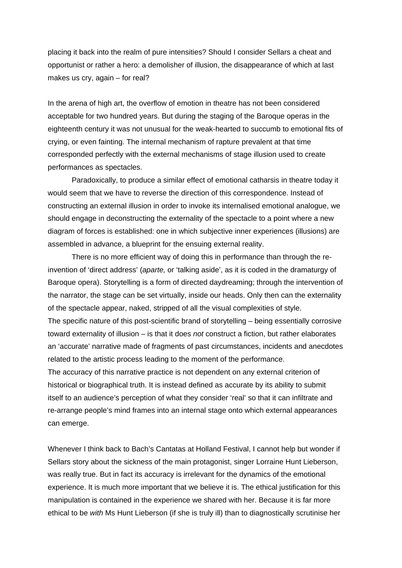placing it back into the realm of pure intensities? Should I consider Sellars a cheat and opportunist or rather a hero: a demolisher of illusion, the disappearance of which at last makes us cry, again – for real?

In the arena of high art, the overflow of emotion in theatre has not been considered acceptable for two hundred years. But during the staging of the Baroque operas in the eighteenth century it was not unusual for the weak-hearted to succumb to emotional fits of crying, or even fainting. The internal mechanism of rapture prevalent at that time corresponded perfectly with the external mechanisms of stage illusion used to create performances as spectacles.

Paradoxically, to produce a similar effect of emotional catharsis in theatre today it would seem that we have to reverse the direction of this correspondence. Instead of constructing an external illusion in order to invoke its internalised emotional analogue, we should engage in deconstructing the externality of the spectacle to a point where a new diagram of forces is established: one in which subjective inner experiences (illusions) are assembled in advance, a blueprint for the ensuing external reality.

There is no more efficient way of doing this in performance than through the reinvention of 'direct address' (*aparte,* or 'talking aside', as it is coded in the dramaturgy of Baroque opera). Storytelling is a form of directed daydreaming; through the intervention of the narrator, the stage can be set virtually, inside our heads. Only then can the externality of the spectacle appear, naked, stripped of all the visual complexities of style. The specific nature of this post-scientific brand of storytelling – being essentially corrosive toward externality of illusion – is that it does *not* construct a fiction, but rather elaborates an 'accurate' narrative made of fragments of past circumstances, incidents and anecdotes related to the artistic process leading to the moment of the performance.

The accuracy of this narrative practice is not dependent on any external criterion of historical or biographical truth. It is instead defined as accurate by its ability to submit itself to an audience's perception of what they consider 'real' so that it can infiltrate and re-arrange people's mind frames into an internal stage onto which external appearances can emerge.

Whenever I think back to Bach's Cantatas at Holland Festival, I cannot help but wonder if Sellars story about the sickness of the main protagonist, singer Lorraine Hunt Lieberson, was really true. But in fact its accuracy is irrelevant for the dynamics of the emotional experience. It is much more important that we believe it is. The ethical justification for this manipulation is contained in the experience we shared with her. Because it is far more ethical to be *with* Ms Hunt Lieberson (if she is truly ill) than to diagnostically scrutinise her